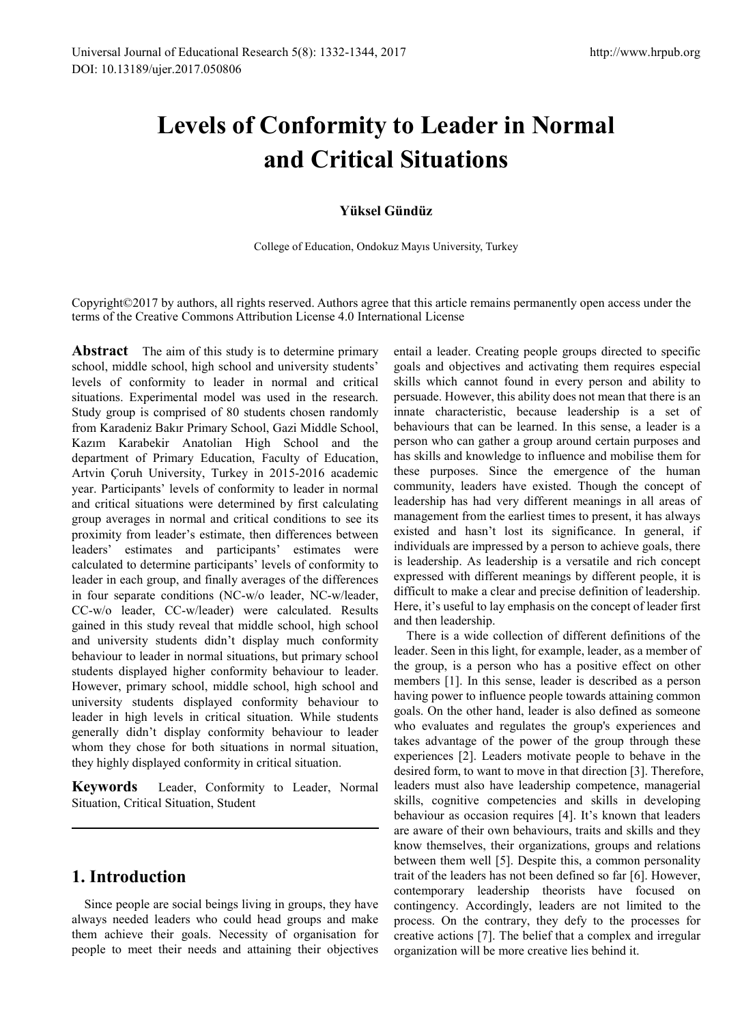# **Levels of Conformity to Leader in Normal and Critical Situations**

#### **Yüksel Gündüz**

College of Education, Ondokuz Mayıs University, Turkey

Copyright©2017 by authors, all rights reserved. Authors agree that this article remains permanently open access under the terms of the Creative Commons Attribution License 4.0 International License

**Abstract** The aim of this study is to determine primary school, middle school, high school and university students' levels of conformity to leader in normal and critical situations. Experimental model was used in the research. Study group is comprised of 80 students chosen randomly from Karadeniz Bakır Primary School, Gazi Middle School, Kazım Karabekir Anatolian High School and the department of Primary Education, Faculty of Education, Artvin Çoruh University, Turkey in 2015-2016 academic year. Participants' levels of conformity to leader in normal and critical situations were determined by first calculating group averages in normal and critical conditions to see its proximity from leader's estimate, then differences between leaders' estimates and participants' estimates were calculated to determine participants' levels of conformity to leader in each group, and finally averages of the differences in four separate conditions (NC-w/o leader, NC-w/leader, CC-w/o leader, CC-w/leader) were calculated. Results gained in this study reveal that middle school, high school and university students didn't display much conformity behaviour to leader in normal situations, but primary school students displayed higher conformity behaviour to leader. However, primary school, middle school, high school and university students displayed conformity behaviour to leader in high levels in critical situation. While students generally didn't display conformity behaviour to leader whom they chose for both situations in normal situation, they highly displayed conformity in critical situation.

**Keywords** Leader, Conformity to Leader, Normal Situation, Critical Situation, Student

# **1. Introduction**

Since people are social beings living in groups, they have always needed leaders who could head groups and make them achieve their goals. Necessity of organisation for people to meet their needs and attaining their objectives

entail a leader. Creating people groups directed to specific goals and objectives and activating them requires especial skills which cannot found in every person and ability to persuade. However, this ability does not mean that there is an innate characteristic, because leadership is a set of behaviours that can be learned. In this sense, a leader is a person who can gather a group around certain purposes and has skills and knowledge to influence and mobilise them for these purposes. Since the emergence of the human community, leaders have existed. Though the concept of leadership has had very different meanings in all areas of management from the earliest times to present, it has always existed and hasn't lost its significance. In general, if individuals are impressed by a person to achieve goals, there is leadership. As leadership is a versatile and rich concept expressed with different meanings by different people, it is difficult to make a clear and precise definition of leadership. Here, it's useful to lay emphasis on the concept of leader first and then leadership.

There is a wide collection of different definitions of the leader. Seen in this light, for example, leader, as a member of the group, is a person who has a positive effect on other members [1]. In this sense, leader is described as a person having power to influence people towards attaining common goals. On the other hand, leader is also defined as someone who evaluates and regulates the group's experiences and takes advantage of the power of the group through these experiences [2]. Leaders motivate people to behave in the desired form, to want to move in that direction [3]. Therefore, leaders must also have leadership competence, managerial skills, cognitive competencies and skills in developing behaviour as occasion requires [4]. It's known that leaders are aware of their own behaviours, traits and skills and they know themselves, their organizations, groups and relations between them well [5]. Despite this, a common personality trait of the leaders has not been defined so far [6]. However, contemporary leadership theorists have focused on contingency. Accordingly, leaders are not limited to the process. On the contrary, they defy to the processes for creative actions [7]. The belief that a complex and irregular organization will be more creative lies behind it.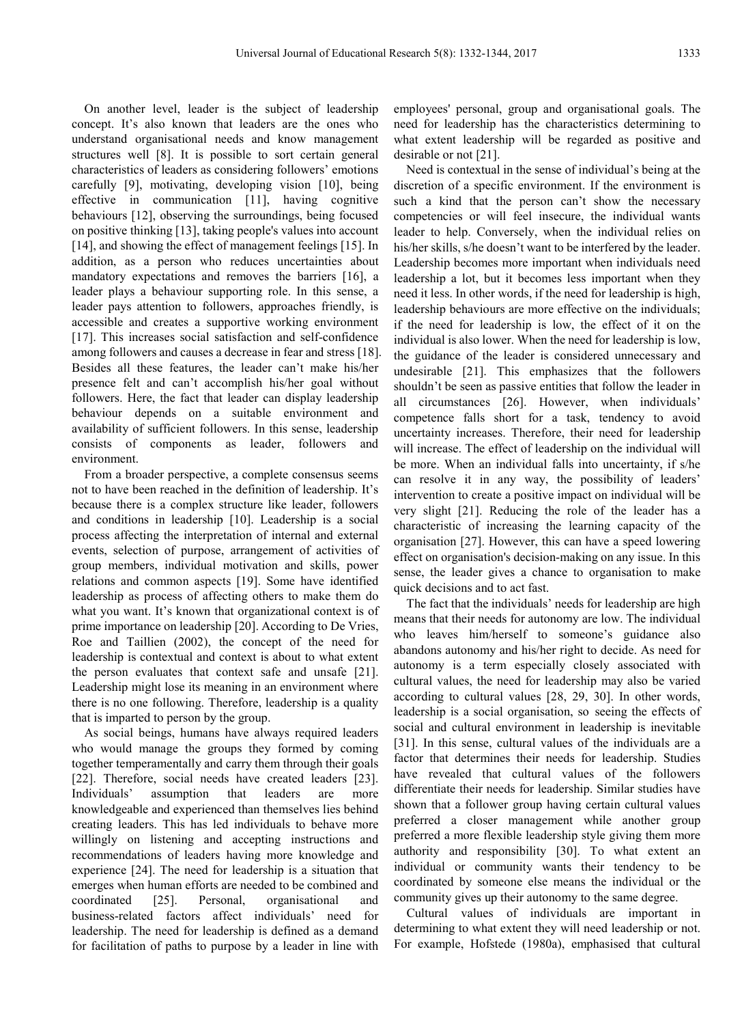On another level, leader is the subject of leadership concept. It's also known that leaders are the ones who understand organisational needs and know management structures well [8]. It is possible to sort certain general characteristics of leaders as considering followers' emotions carefully [9], motivating, developing vision [10], being effective in communication [11], having cognitive behaviours [12], observing the surroundings, being focused on positive thinking [13], taking people's values into account [14], and showing the effect of management feelings [15]. In addition, as a person who reduces uncertainties about mandatory expectations and removes the barriers [16], a leader plays a behaviour supporting role. In this sense, a leader pays attention to followers, approaches friendly, is accessible and creates a supportive working environment [17]. This increases social satisfaction and self-confidence among followers and causes a decrease in fear and stress [18]. Besides all these features, the leader can't make his/her presence felt and can't accomplish his/her goal without followers. Here, the fact that leader can display leadership behaviour depends on a suitable environment and availability of sufficient followers. In this sense, leadership consists of components as leader, followers and environment.

From a broader perspective, a complete consensus seems not to have been reached in the definition of leadership. It's because there is a complex structure like leader, followers and conditions in leadership [10]. Leadership is a social process affecting the interpretation of internal and external events, selection of purpose, arrangement of activities of group members, individual motivation and skills, power relations and common aspects [19]. Some have identified leadership as process of affecting others to make them do what you want. It's known that organizational context is of prime importance on leadership [20]. According to De Vries, Roe and Taillien (2002), the concept of the need for leadership is contextual and context is about to what extent the person evaluates that context safe and unsafe [21]. Leadership might lose its meaning in an environment where there is no one following. Therefore, leadership is a quality that is imparted to person by the group.

As social beings, humans have always required leaders who would manage the groups they formed by coming together temperamentally and carry them through their goals [22]. Therefore, social needs have created leaders [23]. Individuals' assumption that leaders are more knowledgeable and experienced than themselves lies behind creating leaders. This has led individuals to behave more willingly on listening and accepting instructions and recommendations of leaders having more knowledge and experience [24]. The need for leadership is a situation that emerges when human efforts are needed to be combined and coordinated [25]. Personal, organisational and business-related factors affect individuals' need for leadership. The need for leadership is defined as a demand for facilitation of paths to purpose by a leader in line with

employees' personal, group and organisational goals. The need for leadership has the characteristics determining to what extent leadership will be regarded as positive and desirable or not [21].

Need is contextual in the sense of individual's being at the discretion of a specific environment. If the environment is such a kind that the person can't show the necessary competencies or will feel insecure, the individual wants leader to help. Conversely, when the individual relies on his/her skills, s/he doesn't want to be interfered by the leader. Leadership becomes more important when individuals need leadership a lot, but it becomes less important when they need it less. In other words, if the need for leadership is high, leadership behaviours are more effective on the individuals; if the need for leadership is low, the effect of it on the individual is also lower. When the need for leadership is low, the guidance of the leader is considered unnecessary and undesirable [21]. This emphasizes that the followers shouldn't be seen as passive entities that follow the leader in all circumstances [26]. However, when individuals' competence falls short for a task, tendency to avoid uncertainty increases. Therefore, their need for leadership will increase. The effect of leadership on the individual will be more. When an individual falls into uncertainty, if s/he can resolve it in any way, the possibility of leaders' intervention to create a positive impact on individual will be very slight [21]. Reducing the role of the leader has a characteristic of increasing the learning capacity of the organisation [27]. However, this can have a speed lowering effect on organisation's decision-making on any issue. In this sense, the leader gives a chance to organisation to make quick decisions and to act fast.

The fact that the individuals' needs for leadership are high means that their needs for autonomy are low. The individual who leaves him/herself to someone's guidance also abandons autonomy and his/her right to decide. As need for autonomy is a term especially closely associated with cultural values, the need for leadership may also be varied according to cultural values [28, 29, 30]. In other words, leadership is a social organisation, so seeing the effects of social and cultural environment in leadership is inevitable [31]. In this sense, cultural values of the individuals are a factor that determines their needs for leadership. Studies have revealed that cultural values of the followers differentiate their needs for leadership. Similar studies have shown that a follower group having certain cultural values preferred a closer management while another group preferred a more flexible leadership style giving them more authority and responsibility [30]. To what extent an individual or community wants their tendency to be coordinated by someone else means the individual or the community gives up their autonomy to the same degree.

Cultural values of individuals are important in determining to what extent they will need leadership or not. For example, Hofstede (1980a), emphasised that cultural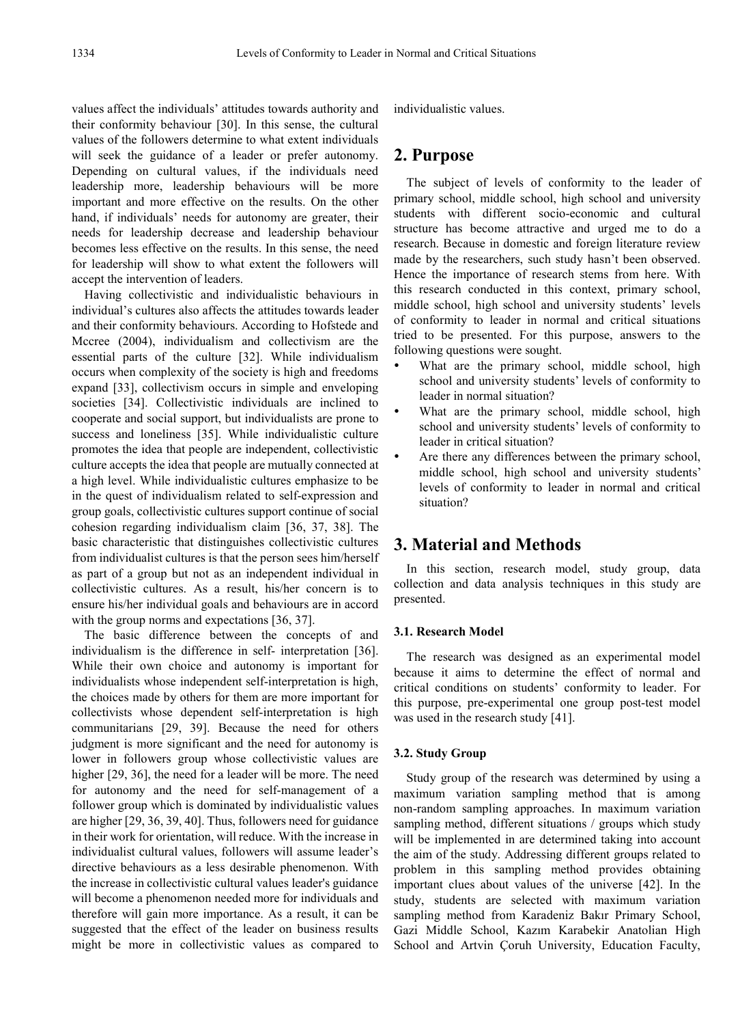values affect the individuals' attitudes towards authority and their conformity behaviour [30]. In this sense, the cultural values of the followers determine to what extent individuals will seek the guidance of a leader or prefer autonomy. Depending on cultural values, if the individuals need leadership more, leadership behaviours will be more important and more effective on the results. On the other hand, if individuals' needs for autonomy are greater, their needs for leadership decrease and leadership behaviour becomes less effective on the results. In this sense, the need for leadership will show to what extent the followers will accept the intervention of leaders.

Having collectivistic and individualistic behaviours in individual's cultures also affects the attitudes towards leader and their conformity behaviours. According to Hofstede and Mccree (2004), individualism and collectivism are the essential parts of the culture [32]. While individualism occurs when complexity of the society is high and freedoms expand [33], collectivism occurs in simple and enveloping societies [34]. Collectivistic individuals are inclined to cooperate and social support, but individualists are prone to success and loneliness [35]. While individualistic culture promotes the idea that people are independent, collectivistic culture accepts the idea that people are mutually connected at a high level. While individualistic cultures emphasize to be in the quest of individualism related to self-expression and group goals, collectivistic cultures support continue of social cohesion regarding individualism claim [36, 37, 38]. The basic characteristic that distinguishes collectivistic cultures from individualist cultures is that the person sees him/herself as part of a group but not as an independent individual in collectivistic cultures. As a result, his/her concern is to ensure his/her individual goals and behaviours are in accord with the group norms and expectations [36, 37].

The basic difference between the concepts of and individualism is the difference in self- interpretation [36]. While their own choice and autonomy is important for individualists whose independent self-interpretation is high, the choices made by others for them are more important for collectivists whose dependent self-interpretation is high communitarians [29, 39]. Because the need for others judgment is more significant and the need for autonomy is lower in followers group whose collectivistic values are higher [29, 36], the need for a leader will be more. The need for autonomy and the need for self-management of a follower group which is dominated by individualistic values are higher [29, 36, 39, 40]. Thus, followers need for guidance in their work for orientation, will reduce. With the increase in individualist cultural values, followers will assume leader's directive behaviours as a less desirable phenomenon. With the increase in collectivistic cultural values leader's guidance will become a phenomenon needed more for individuals and therefore will gain more importance. As a result, it can be suggested that the effect of the leader on business results might be more in collectivistic values as compared to individualistic values.

# **2. Purpose**

The subject of levels of conformity to the leader of primary school, middle school, high school and university students with different socio-economic and cultural structure has become attractive and urged me to do a research. Because in domestic and foreign literature review made by the researchers, such study hasn't been observed. Hence the importance of research stems from here. With this research conducted in this context, primary school, middle school, high school and university students' levels of conformity to leader in normal and critical situations tried to be presented. For this purpose, answers to the following questions were sought.

- What are the primary school, middle school, high school and university students' levels of conformity to leader in normal situation?
- What are the primary school, middle school, high school and university students' levels of conformity to leader in critical situation?
- Are there any differences between the primary school, middle school, high school and university students' levels of conformity to leader in normal and critical situation?

# **3. Material and Methods**

In this section, research model, study group, data collection and data analysis techniques in this study are presented.

#### **3.1. Research Model**

The research was designed as an experimental model because it aims to determine the effect of normal and critical conditions on students' conformity to leader. For this purpose, pre-experimental one group post-test model was used in the research study [41].

#### **3.2. Study Group**

Study group of the research was determined by using a maximum variation sampling method that is among non-random sampling approaches. In maximum variation sampling method, different situations / groups which study will be implemented in are determined taking into account the aim of the study. Addressing different groups related to problem in this sampling method provides obtaining important clues about values of the universe [42]. In the study, students are selected with maximum variation sampling method from Karadeniz Bakır Primary School, Gazi Middle School, Kazım Karabekir Anatolian High School and Artvin Çoruh University, Education Faculty,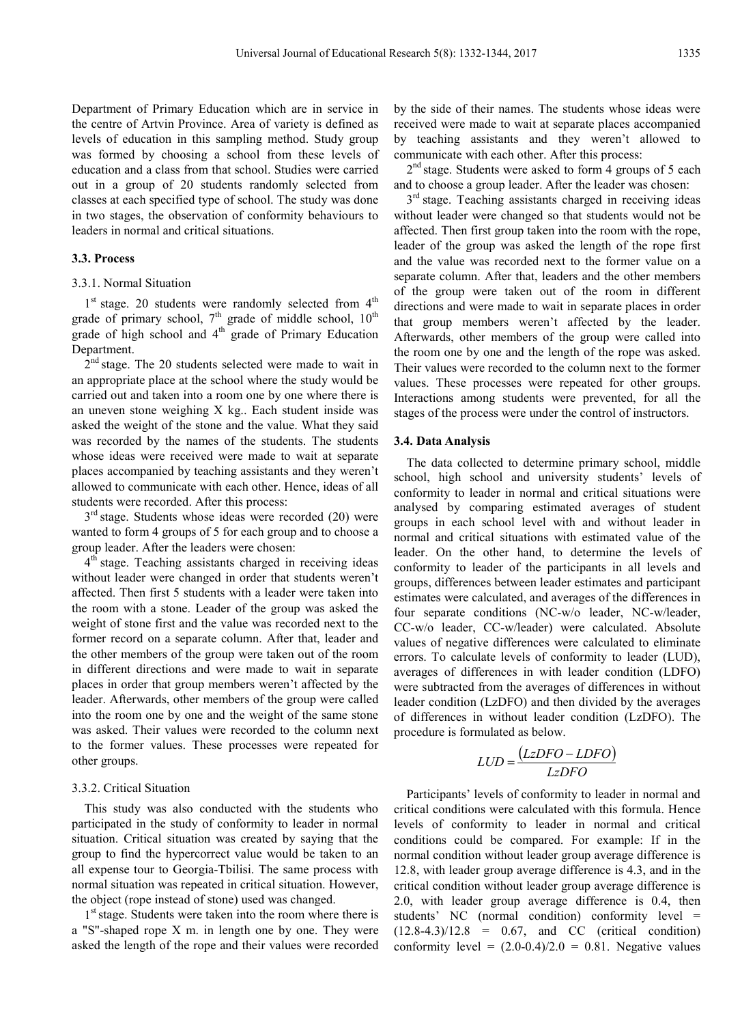Department of Primary Education which are in service in the centre of Artvin Province. Area of variety is defined as levels of education in this sampling method. Study group was formed by choosing a school from these levels of education and a class from that school. Studies were carried out in a group of 20 students randomly selected from classes at each specified type of school. The study was done in two stages, the observation of conformity behaviours to leaders in normal and critical situations.

#### **3.3. Process**

#### 3.3.1. Normal Situation

1<sup>st</sup> stage. 20 students were randomly selected from 4<sup>th</sup> grade of primary school,  $7<sup>th</sup>$  grade of middle school,  $10<sup>th</sup>$ grade of high school and  $4<sup>th</sup>$  grade of Primary Education Department.

 $2<sup>nd</sup>$  stage. The 20 students selected were made to wait in an appropriate place at the school where the study would be carried out and taken into a room one by one where there is an uneven stone weighing X kg.. Each student inside was asked the weight of the stone and the value. What they said was recorded by the names of the students. The students whose ideas were received were made to wait at separate places accompanied by teaching assistants and they weren't allowed to communicate with each other. Hence, ideas of all students were recorded. After this process:

 $3<sup>rd</sup>$  stage. Students whose ideas were recorded (20) were wanted to form 4 groups of 5 for each group and to choose a group leader. After the leaders were chosen:

4<sup>th</sup> stage. Teaching assistants charged in receiving ideas without leader were changed in order that students weren't affected. Then first 5 students with a leader were taken into the room with a stone. Leader of the group was asked the weight of stone first and the value was recorded next to the former record on a separate column. After that, leader and the other members of the group were taken out of the room in different directions and were made to wait in separate places in order that group members weren't affected by the leader. Afterwards, other members of the group were called into the room one by one and the weight of the same stone was asked. Their values were recorded to the column next to the former values. These processes were repeated for other groups.

#### 3.3.2. Critical Situation

This study was also conducted with the students who participated in the study of conformity to leader in normal situation. Critical situation was created by saying that the group to find the hypercorrect value would be taken to an all expense tour to Georgia-Tbilisi. The same process with normal situation was repeated in critical situation. However, the object (rope instead of stone) used was changed.

1<sup>st</sup> stage. Students were taken into the room where there is a "S"-shaped rope X m. in length one by one. They were asked the length of the rope and their values were recorded by the side of their names. The students whose ideas were received were made to wait at separate places accompanied by teaching assistants and they weren't allowed to communicate with each other. After this process:

 $2<sup>nd</sup>$  stage. Students were asked to form 4 groups of 5 each and to choose a group leader. After the leader was chosen:

 $3<sup>rd</sup>$  stage. Teaching assistants charged in receiving ideas without leader were changed so that students would not be affected. Then first group taken into the room with the rope, leader of the group was asked the length of the rope first and the value was recorded next to the former value on a separate column. After that, leaders and the other members of the group were taken out of the room in different directions and were made to wait in separate places in order that group members weren't affected by the leader. Afterwards, other members of the group were called into the room one by one and the length of the rope was asked. Their values were recorded to the column next to the former values. These processes were repeated for other groups. Interactions among students were prevented, for all the stages of the process were under the control of instructors.

#### **3.4. Data Analysis**

The data collected to determine primary school, middle school, high school and university students' levels of conformity to leader in normal and critical situations were analysed by comparing estimated averages of student groups in each school level with and without leader in normal and critical situations with estimated value of the leader. On the other hand, to determine the levels of conformity to leader of the participants in all levels and groups, differences between leader estimates and participant estimates were calculated, and averages of the differences in four separate conditions (NC-w/o leader, NC-w/leader, CC-w/o leader, CC-w/leader) were calculated. Absolute values of negative differences were calculated to eliminate errors. To calculate levels of conformity to leader (LUD), averages of differences in with leader condition (LDFO) were subtracted from the averages of differences in without leader condition (LzDFO) and then divided by the averages of differences in without leader condition (LzDFO). The procedure is formulated as below.

$$
LUD = \frac{(LzDFO - LDFO)}{LzDFO}
$$

Participants' levels of conformity to leader in normal and critical conditions were calculated with this formula. Hence levels of conformity to leader in normal and critical conditions could be compared. For example: If in the normal condition without leader group average difference is 12.8, with leader group average difference is 4.3, and in the critical condition without leader group average difference is 2.0, with leader group average difference is 0.4, then students' NC (normal condition) conformity level =  $(12.8-4.3)/12.8 = 0.67$ , and CC (critical condition) conformity level =  $(2.0-0.4)/2.0 = 0.81$ . Negative values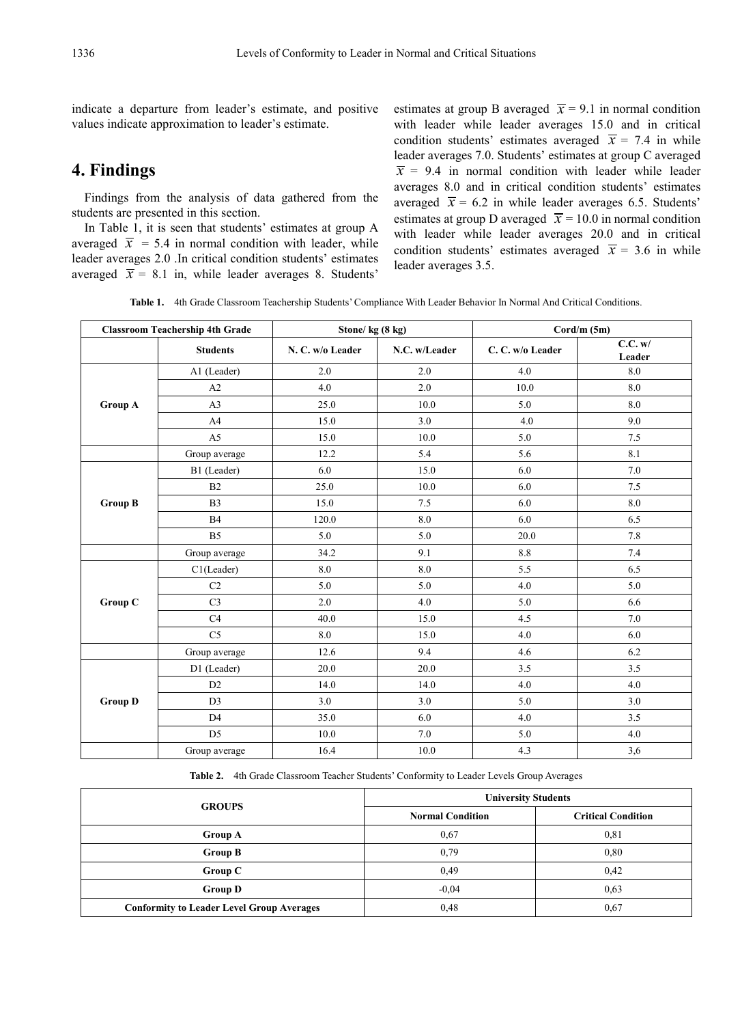indicate a departure from leader's estimate, and positive values indicate approximation to leader's estimate.

# **4. Findings**

Findings from the analysis of data gathered from the students are presented in this section.

In Table 1, it is seen that students' estimates at group A averaged  $\bar{x}$  = 5.4 in normal condition with leader, while leader averages 2.0 .In critical condition students' estimates averaged  $\bar{x}$  = 8.1 in, while leader averages 8. Students'

estimates at group B averaged  $\bar{x}$  = 9.1 in normal condition with leader while leader averages 15.0 and in critical condition students' estimates averaged  $\bar{x}$  = 7.4 in while leader averages 7.0. Students' estimates at group C averaged  $\bar{x}$  = 9.4 in normal condition with leader while leader averages 8.0 and in critical condition students' estimates averaged  $\bar{x}$  = 6.2 in while leader averages 6.5. Students' estimates at group D averaged  $\bar{x}$  = 10.0 in normal condition with leader while leader averages 20.0 and in critical condition students' estimates averaged  $\bar{x}$  = 3.6 in while leader averages 3.5.

**Table 1.** 4th Grade Classroom Teachership Students' Compliance With Leader Behavior In Normal And Critical Conditions.

| <b>Classroom Teachership 4th Grade</b> |                 | Stone/kg (8 kg)  |               | $Cord/m$ (5m)    |                   |  |
|----------------------------------------|-----------------|------------------|---------------|------------------|-------------------|--|
|                                        | <b>Students</b> | N. C. w/o Leader | N.C. w/Leader | C. C. w/o Leader | C.C. w/<br>Leader |  |
|                                        | A1 (Leader)     | 2.0              | 2.0           | 4.0              | $8.0\,$           |  |
|                                        | A2              | 4.0              | 2.0           | 10.0             | 8.0               |  |
| <b>Group A</b>                         | A <sub>3</sub>  | 25.0             | 10.0          | 5.0              | 8.0               |  |
|                                        | A <sub>4</sub>  | 15.0             | 3.0           | 4.0              | 9.0               |  |
|                                        | A <sub>5</sub>  | 15.0             | 10.0          | 5.0              | 7.5               |  |
|                                        | Group average   | 12.2             | 5.4           | 5.6              | 8.1               |  |
|                                        | B1 (Leader)     | 6.0              | 15.0          | 6.0              | 7.0               |  |
|                                        | B2              | 25.0             | 10.0          | 6.0              | 7.5               |  |
| <b>Group B</b>                         | B <sub>3</sub>  | 15.0             | 7.5           | 6.0              | $8.0\,$           |  |
|                                        | <b>B4</b>       | 120.0            | 8.0           | 6.0              | 6.5               |  |
|                                        | B <sub>5</sub>  | 5.0              | 5.0           | 20.0             | 7.8               |  |
|                                        | Group average   | 34.2             | 9.1           | 8.8              | 7.4               |  |
|                                        | C1(Leader)      | 8.0              | 8.0           | 5.5              | 6.5               |  |
|                                        | C <sub>2</sub>  | 5.0              | 5.0           | 4.0              | 5.0               |  |
| Group C                                | C <sub>3</sub>  | 2.0              | 4.0           | 5.0              | 6.6               |  |
|                                        | C4              | 40.0             | 15.0          | 4.5              | 7.0               |  |
|                                        | C <sub>5</sub>  | 8.0              | 15.0          | 4.0              | 6.0               |  |
|                                        | Group average   | 12.6             | 9.4           | 4.6              | 6.2               |  |
|                                        | D1 (Leader)     | 20.0             | 20.0          | 3.5              | 3.5               |  |
|                                        | D2              | 14.0             | 14.0          | 4.0              | 4.0               |  |
| <b>Group D</b>                         | D <sub>3</sub>  | 3.0              | 3.0           | 5.0              | 3.0               |  |
|                                        | D <sub>4</sub>  | 35.0             | 6.0           | 4.0              | 3.5               |  |
|                                        | D <sub>5</sub>  | 10.0             | 7.0           | 5.0              | 4.0               |  |
|                                        | Group average   | 16.4             | 10.0          | 4.3              | 3,6               |  |

**Table 2.** 4th Grade Classroom Teacher Students' Conformity to Leader Levels Group Averages

|                                                  | <b>University Students</b> |                           |  |  |  |
|--------------------------------------------------|----------------------------|---------------------------|--|--|--|
| <b>GROUPS</b>                                    | <b>Normal Condition</b>    | <b>Critical Condition</b> |  |  |  |
| <b>Group A</b>                                   | 0.67                       | 0,81                      |  |  |  |
| <b>Group B</b>                                   | 0.79                       | 0.80                      |  |  |  |
| Group C                                          | 0.49                       | 0,42                      |  |  |  |
| <b>Group D</b>                                   | $-0.04$                    | 0.63                      |  |  |  |
| <b>Conformity to Leader Level Group Averages</b> | 0,48                       | 0.67                      |  |  |  |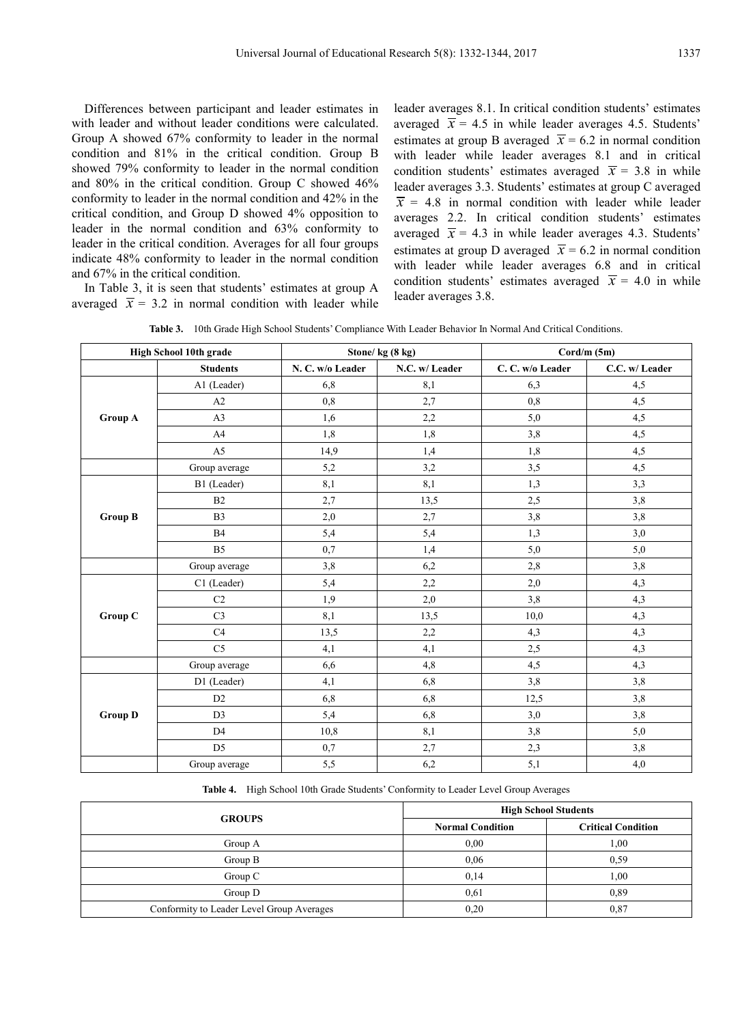Differences between participant and leader estimates in with leader and without leader conditions were calculated. Group A showed 67% conformity to leader in the normal condition and 81% in the critical condition. Group B showed 79% conformity to leader in the normal condition and 80% in the critical condition. Group C showed 46% conformity to leader in the normal condition and 42% in the critical condition, and Group D showed 4% opposition to leader in the normal condition and 63% conformity to leader in the critical condition. Averages for all four groups indicate 48% conformity to leader in the normal condition and 67% in the critical condition.

In Table 3, it is seen that students' estimates at group A averaged  $\bar{x}$  = 3.2 in normal condition with leader while

leader averages 8.1. In critical condition students' estimates averaged  $\bar{x}$  = 4.5 in while leader averages 4.5. Students' estimates at group B averaged  $\bar{x}$  = 6.2 in normal condition with leader while leader averages 8.1 and in critical condition students' estimates averaged  $\bar{x}$  = 3.8 in while leader averages 3.3. Students' estimates at group C averaged  $\overline{x}$  = 4.8 in normal condition with leader while leader averages 2.2. In critical condition students' estimates averaged  $\bar{x}$  = 4.3 in while leader averages 4.3. Students' estimates at group D averaged  $\bar{x}$  = 6.2 in normal condition with leader while leader averages 6.8 and in critical condition students' estimates averaged  $\bar{x}$  = 4.0 in while leader averages 3.8.

| <b>Table 3.</b> 10th Grade High School Students' Compliance With Leader Behavior In Normal And Critical Conditions. |  |  |  |
|---------------------------------------------------------------------------------------------------------------------|--|--|--|
|                                                                                                                     |  |  |  |

| High School 10th grade |                 |                  | Stone/kg (8 kg) | $Cord/m$ (5m)   |                |  |
|------------------------|-----------------|------------------|-----------------|-----------------|----------------|--|
|                        | <b>Students</b> | N. C. w/o Leader | N.C. w/ Leader  | C.C. w/o Leader | C.C. w/ Leader |  |
|                        | A1 (Leader)     | 6,8              | 8,1             | 6,3             | 4,5            |  |
|                        | A2              | $_{0,8}$         | 2,7             | 0,8             | 4,5            |  |
| Group A                | A <sub>3</sub>  | 1,6              | 2,2             | $5,0$           | 4,5            |  |
|                        | A4              | 1,8              | 1,8             | 3,8             | 4,5            |  |
|                        | A <sub>5</sub>  | 14,9             | 1,4             | 1,8             | 4,5            |  |
|                        | Group average   | 5,2              | 3,2             | 3,5             | 4,5            |  |
|                        | B1 (Leader)     | 8,1              | 8,1             | 1,3             | 3,3            |  |
|                        | B2              | 2,7              | 13,5            | 2,5             | 3,8            |  |
| <b>Group B</b>         | B <sub>3</sub>  | 2,0              | 2,7             | 3,8             | 3,8            |  |
|                        | B <sub>4</sub>  | 5,4              | 5,4             | 1,3             | 3,0            |  |
|                        | <b>B5</b>       | 0,7              | 1,4             | 5,0             | 5,0            |  |
|                        | Group average   | 3,8              | 6,2             | $2,\!8$         | 3,8            |  |
|                        | C1 (Leader)     | 5,4              | 2,2             | 2,0             | 4,3            |  |
|                        | C <sub>2</sub>  | 1,9              | $2{,}0$         | 3,8             | 4,3            |  |
| Group C                | C <sub>3</sub>  | 8,1              | 13,5            | 10,0            | 4,3            |  |
|                        | C4              | 13,5             | 2,2             | 4,3             | 4,3            |  |
|                        | C <sub>5</sub>  | 4,1              | 4,1             | 2,5             | 4,3            |  |
|                        | Group average   | 6,6              | $4,8$           | 4,5             | 4,3            |  |
|                        | D1 (Leader)     | 4,1              | $6,8$           | $3,8$           | 3,8            |  |
| <b>Group D</b>         | D2              | 6,8              | $6,8$           | 12,5            | 3,8            |  |
|                        | D <sub>3</sub>  | 5,4              | $6,8$           | $3,0$           | 3,8            |  |
|                        | D <sub>4</sub>  | 10,8             | 8,1             | 3,8             | 5,0            |  |
|                        | D <sub>5</sub>  | 0,7              | 2,7             | 2,3             | 3,8            |  |
|                        | Group average   | 5,5              | 6,2             | 5,1             | 4,0            |  |

**Table 4.** High School 10th Grade Students' Conformity to Leader Level Group Averages

| <b>GROUPS</b>                             |                         | <b>High School Students</b> |
|-------------------------------------------|-------------------------|-----------------------------|
|                                           | <b>Normal Condition</b> | <b>Critical Condition</b>   |
| Group A                                   | 0.00                    | 1,00                        |
| Group B                                   | 0,06                    | 0,59                        |
| Group $C$                                 | 0,14                    | 1,00                        |
| Group D                                   | 0.61                    | 0.89                        |
| Conformity to Leader Level Group Averages | 0,20                    | 0,87                        |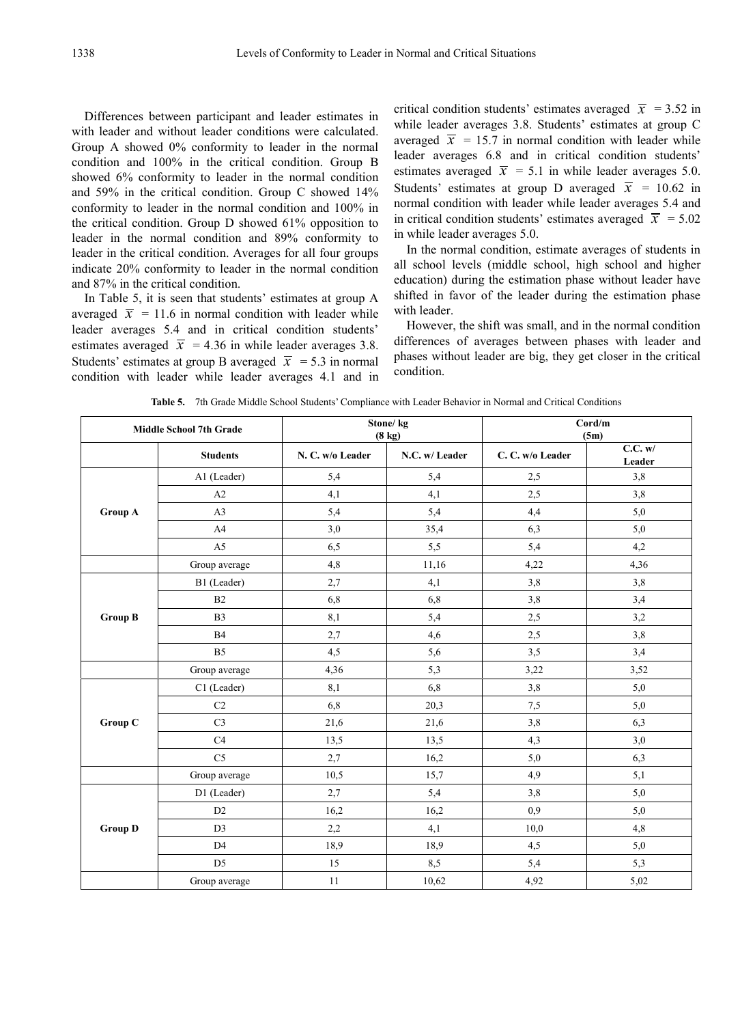Differences between participant and leader estimates in with leader and without leader conditions were calculated. Group A showed 0% conformity to leader in the normal condition and 100% in the critical condition. Group B showed 6% conformity to leader in the normal condition and 59% in the critical condition. Group C showed 14% conformity to leader in the normal condition and 100% in the critical condition. Group D showed 61% opposition to leader in the normal condition and 89% conformity to leader in the critical condition. Averages for all four groups indicate 20% conformity to leader in the normal condition and 87% in the critical condition.

In Table 5, it is seen that students' estimates at group A averaged  $\bar{x}$  = 11.6 in normal condition with leader while leader averages 5.4 and in critical condition students' estimates averaged  $\bar{x}$  = 4.36 in while leader averages 3.8. Students' estimates at group B averaged  $\bar{x}$  = 5.3 in normal condition with leader while leader averages 4.1 and in critical condition students' estimates averaged  $\bar{x}$  = 3.52 in while leader averages 3.8. Students' estimates at group C averaged  $\bar{x}$  = 15.7 in normal condition with leader while leader averages 6.8 and in critical condition students' estimates averaged  $\bar{x}$  = 5.1 in while leader averages 5.0. Students' estimates at group D averaged  $\bar{x}$  = 10.62 in normal condition with leader while leader averages 5.4 and in critical condition students' estimates averaged  $\bar{x}$  = 5.02 in while leader averages 5.0.

In the normal condition, estimate averages of students in all school levels (middle school, high school and higher education) during the estimation phase without leader have shifted in favor of the leader during the estimation phase with leader.

However, the shift was small, and in the normal condition differences of averages between phases with leader and phases without leader are big, they get closer in the critical condition.

| <b>Middle School 7th Grade</b> |                 |                  | Stone/kg<br>$(8 \text{ kg})$ | Cord/m<br>(5m)  |                   |  |
|--------------------------------|-----------------|------------------|------------------------------|-----------------|-------------------|--|
|                                | <b>Students</b> | N. C. w/o Leader | N.C. w/ Leader               | C.C. w/o Leader | C.C. w/<br>Leader |  |
|                                | A1 (Leader)     | 5,4              | 5,4                          | 2,5             | 3,8               |  |
|                                | A2              | 4,1              | 4,1                          | 2,5             | 3,8               |  |
| <b>Group A</b>                 | A <sub>3</sub>  | 5,4              | 5,4                          | 4,4             | 5,0               |  |
|                                | A <sup>4</sup>  | 3,0              | 35,4                         | 6,3             | 5,0               |  |
|                                | A <sub>5</sub>  | 6,5              | 5,5                          | 5,4             | 4,2               |  |
|                                | Group average   | 4,8              | 11,16                        | 4,22            | 4,36              |  |
|                                | B1 (Leader)     | 2,7              | 4,1                          | 3,8             | 3,8               |  |
|                                | B2              | 6,8              | 6,8                          | 3,8             | 3,4               |  |
| <b>Group B</b>                 | B <sub>3</sub>  | 8,1              | 5,4                          | 2,5             | 3,2               |  |
|                                | B <sub>4</sub>  | 2,7              | 4,6                          | 2,5             | 3,8               |  |
|                                | B <sub>5</sub>  | 4,5              | 5,6                          | 3,5             | 3,4               |  |
|                                | Group average   | 4,36             | 5,3                          | 3,22            | 3,52              |  |
|                                | C1 (Leader)     | 8,1              | 6,8                          | 3,8             | 5,0               |  |
|                                | $\rm{C2}$       | 6,8              | 20,3                         | 7,5             | 5,0               |  |
| Group C                        | C <sub>3</sub>  | 21,6             | 21,6                         | 3,8             | 6,3               |  |
|                                | C4              | 13,5             | 13,5                         | 4,3             | 3,0               |  |
|                                | C <sub>5</sub>  | 2,7              | 16,2                         | 5,0             | 6,3               |  |
|                                | Group average   | 10,5             | 15,7                         | 4.9             | 5,1               |  |
|                                | D1 (Leader)     | 2,7              | 5,4                          | 3,8             | 5,0               |  |
|                                | D <sub>2</sub>  | 16,2             | 16,2                         | 0,9             | 5,0               |  |
| <b>Group D</b>                 | D <sub>3</sub>  | 2,2              | 4,1                          | 10,0            | 4,8               |  |
|                                | D <sub>4</sub>  | 18,9             | 18,9                         | 4,5             | 5,0               |  |
|                                | D <sub>5</sub>  | 15               | 8,5                          | 5,4             | 5,3               |  |
|                                | Group average   | 11               | 10,62                        | 4,92            | 5,02              |  |

**Table 5.** 7th Grade Middle School Students' Compliance with Leader Behavior in Normal and Critical Conditions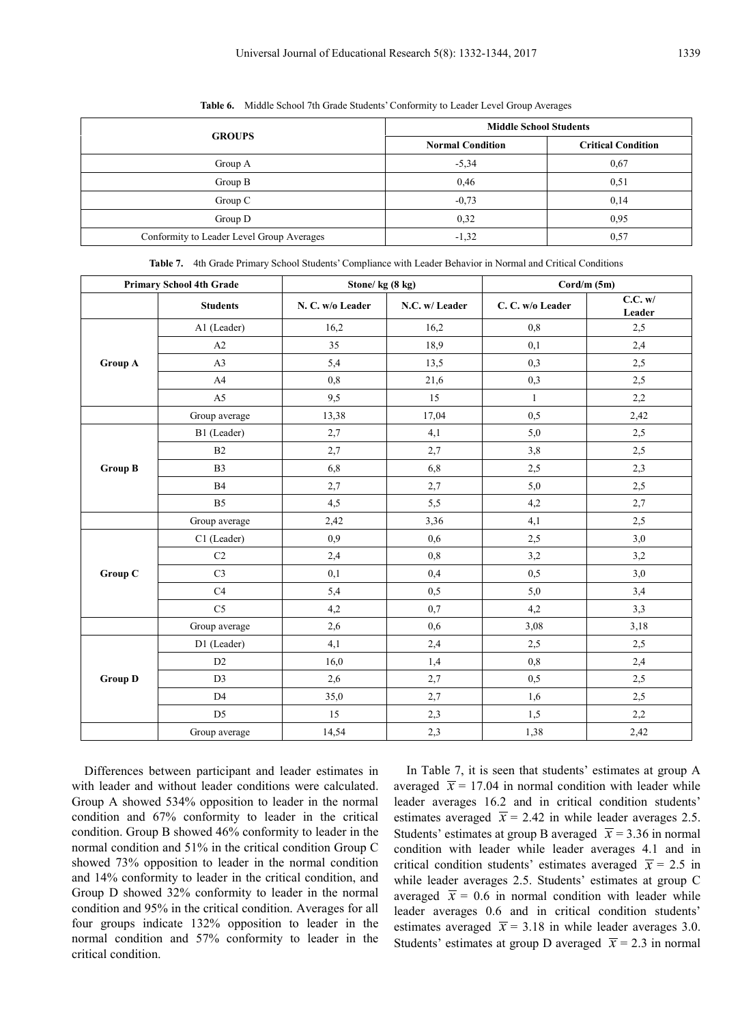|                                           | <b>Middle School Students</b> |                           |  |  |
|-------------------------------------------|-------------------------------|---------------------------|--|--|
| <b>GROUPS</b>                             | <b>Normal Condition</b>       | <b>Critical Condition</b> |  |  |
| Group A                                   | $-5,34$                       | 0,67                      |  |  |
| Group B                                   | 0,46                          | 0,51                      |  |  |
| Group C                                   | $-0.73$                       | 0,14                      |  |  |
| Group D                                   | 0.32                          | 0.95                      |  |  |
| Conformity to Leader Level Group Averages | $-1,32$                       | 0.57                      |  |  |

**Table 6.** Middle School 7th Grade Students' Conformity to Leader Level Group Averages

| <b>Primary School 4th Grade</b> |                 | Stone/kg (8 kg)  |                | $Cord/m$ (5m)    |                   |  |
|---------------------------------|-----------------|------------------|----------------|------------------|-------------------|--|
|                                 | <b>Students</b> | N. C. w/o Leader | N.C. w/ Leader | C. C. w/o Leader | C.C. w/<br>Leader |  |
|                                 | A1 (Leader)     | 16,2             | 16,2           | 0,8              | 2,5               |  |
|                                 | A2              | 35               | 18,9           | 0,1              | 2,4               |  |
| <b>Group A</b>                  | A <sub>3</sub>  | 5,4              | 13,5           | 0,3              | 2,5               |  |
|                                 | A4              | 0,8              | 21,6           | 0,3              | 2,5               |  |
|                                 | A <sub>5</sub>  | 9,5              | 15             | $\mathbf{1}$     | 2,2               |  |
|                                 | Group average   | 13,38            | 17,04          | 0,5              | 2,42              |  |
|                                 | B1 (Leader)     | 2,7              | 4,1            | 5,0              | 2,5               |  |
|                                 | B2              | 2,7              | 2,7            | 3,8              | 2,5               |  |
| <b>Group B</b>                  | B <sub>3</sub>  | 6,8              | 6,8            | 2,5              | 2,3               |  |
|                                 | B4              | 2,7              | 2,7            | 5,0              | 2,5               |  |
|                                 | B <sub>5</sub>  | 4,5              | 5,5            | 4,2              | $2,\!7$           |  |
|                                 | Group average   | 2,42             | 3,36           | 4,1              | 2,5               |  |
|                                 | C1 (Leader)     | 0.9              | 0,6            | 2,5              | 3,0               |  |
|                                 | C2              | 2,4              | 0,8            | 3,2              | 3,2               |  |
| Group C                         | C <sub>3</sub>  | 0,1              | 0,4            | 0,5              | 3,0               |  |
|                                 | C4              | 5,4              | 0,5            | 5,0              | 3,4               |  |
|                                 | C <sub>5</sub>  | 4,2              | 0,7            | 4,2              | 3,3               |  |
|                                 | Group average   | 2,6              | 0.6            | 3,08             | 3,18              |  |
|                                 | D1 (Leader)     | 4,1              | 2,4            | 2,5              | 2,5               |  |
|                                 | D2              | 16,0             | 1,4            | 0,8              | 2,4               |  |
| <b>Group D</b>                  | D <sub>3</sub>  | 2,6              | 2,7            | 0, 5             | 2,5               |  |
|                                 | D <sub>4</sub>  | 35,0             | 2,7            | 1,6              | 2,5               |  |
|                                 | D <sub>5</sub>  | 15               | 2,3            | 1,5              | 2,2               |  |
|                                 | Group average   | 14,54            | 2,3            | 1,38             | 2,42              |  |

**Table 7.** 4th Grade Primary School Students' Compliance with Leader Behavior in Normal and Critical Conditions

Differences between participant and leader estimates in with leader and without leader conditions were calculated. Group A showed 534% opposition to leader in the normal condition and 67% conformity to leader in the critical condition. Group B showed 46% conformity to leader in the normal condition and 51% in the critical condition Group C showed 73% opposition to leader in the normal condition and 14% conformity to leader in the critical condition, and Group D showed 32% conformity to leader in the normal condition and 95% in the critical condition. Averages for all four groups indicate 132% opposition to leader in the normal condition and 57% conformity to leader in the critical condition.

In Table 7, it is seen that students' estimates at group A averaged  $\bar{x}$  = 17.04 in normal condition with leader while leader averages 16.2 and in critical condition students' estimates averaged  $\bar{x}$  = 2.42 in while leader averages 2.5. Students' estimates at group B averaged  $\bar{x}$  = 3.36 in normal condition with leader while leader averages 4.1 and in critical condition students' estimates averaged  $\bar{x}$  = 2.5 in while leader averages 2.5. Students' estimates at group C averaged  $\bar{x}$  = 0.6 in normal condition with leader while leader averages 0.6 and in critical condition students' estimates averaged  $\bar{x}$  = 3.18 in while leader averages 3.0. Students' estimates at group D averaged  $\bar{x}$  = 2.3 in normal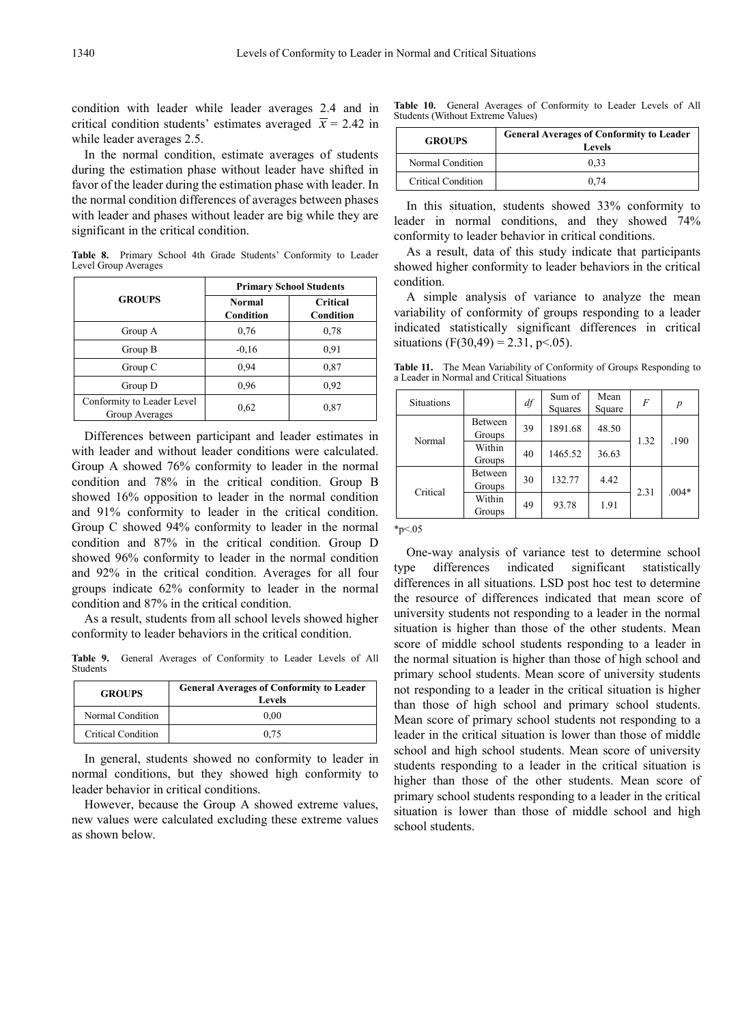condition with leader while leader averages 2.4 and in critical condition students' estimates averaged  $\bar{x}$  = 2.42 in while leader averages 2.5.

In the normal condition, estimate averages of students during the estimation phase without leader have shifted in favor of the leader during the estimation phase with leader. In the normal condition differences of averages between phases with leader and phases without leader are big while they are significant in the critical condition.

**Table 8.** Primary School 4th Grade Students' Conformity to Leader Level Group Averages

|                                              | <b>Primary School Students</b> |                              |  |  |  |
|----------------------------------------------|--------------------------------|------------------------------|--|--|--|
| <b>GROUPS</b>                                | <b>Normal</b><br>Condition     | <b>Critical</b><br>Condition |  |  |  |
| Group A                                      | 0.76                           | 0.78                         |  |  |  |
| Group B                                      | $-0.16$                        | 0,91                         |  |  |  |
| Group C                                      | 0.94                           | 0,87                         |  |  |  |
| Group D                                      | 0.96                           | 0.92                         |  |  |  |
| Conformity to Leader Level<br>Group Averages | 0.62                           | 0,87                         |  |  |  |

Differences between participant and leader estimates in with leader and without leader conditions were calculated. Group A showed 76% conformity to leader in the normal condition and 78% in the critical condition. Group B showed 16% opposition to leader in the normal condition and 91% conformity to leader in the critical condition. Group C showed 94% conformity to leader in the normal condition and 87% in the critical condition. Group D showed 96% conformity to leader in the normal condition and 92% in the critical condition. Averages for all four groups indicate 62% conformity to leader in the normal condition and 87% in the critical condition.

As a result, students from all school levels showed higher conformity to leader behaviors in the critical condition.

**Table 9.** General Averages of Conformity to Leader Levels of All Students

| <b>GROUPS</b>      | <b>General Averages of Conformity to Leader</b><br>Levels |
|--------------------|-----------------------------------------------------------|
| Normal Condition   | 0.00                                                      |
| Critical Condition | 0.75                                                      |

In general, students showed no conformity to leader in normal conditions, but they showed high conformity to leader behavior in critical conditions.

However, because the Group A showed extreme values, new values were calculated excluding these extreme values as shown below.

|  |                                   | <b>Table 10.</b> General Averages of Conformity to Leader Levels of All |  |  |  |
|--|-----------------------------------|-------------------------------------------------------------------------|--|--|--|
|  | Students (Without Extreme Values) |                                                                         |  |  |  |

| <b>GROUPS</b>             | <b>General Averages of Conformity to Leader</b><br>Levels |
|---------------------------|-----------------------------------------------------------|
| Normal Condition          | 0.33                                                      |
| <b>Critical Condition</b> | 0.74                                                      |

In this situation, students showed 33% conformity to leader in normal conditions, and they showed 74% conformity to leader behavior in critical conditions.

As a result, data of this study indicate that participants showed higher conformity to leader behaviors in the critical condition.

A simple analysis of variance to analyze the mean variability of conformity of groups responding to a leader indicated statistically significant differences in critical situations (F(30,49) = 2.31, p < 0.05).

**Table 11.** The Mean Variability of Conformity of Groups Responding to a Leader in Normal and Critical Situations

| <b>Situations</b> |                   | df | Sum of<br>Squares | Mean<br>Square | F    | p       |
|-------------------|-------------------|----|-------------------|----------------|------|---------|
| Normal            | Between<br>Groups | 39 | 1891.68<br>48.50  |                |      |         |
|                   | Within<br>Groups  | 40 | 1465.52           | 36.63          | 1.32 | .190    |
| Critical          | Between<br>Groups | 30 | 132.77            | 4.42           |      | $.004*$ |
|                   | Within<br>Groups  | 49 | 93.78             | 1.91           | 2.31 |         |

 $*_{p<.05}$ 

One-way analysis of variance test to determine school type differences indicated significant statistically differences in all situations. LSD post hoc test to determine the resource of differences indicated that mean score of university students not responding to a leader in the normal situation is higher than those of the other students. Mean score of middle school students responding to a leader in the normal situation is higher than those of high school and primary school students. Mean score of university students not responding to a leader in the critical situation is higher than those of high school and primary school students. Mean score of primary school students not responding to a leader in the critical situation is lower than those of middle school and high school students. Mean score of university students responding to a leader in the critical situation is higher than those of the other students. Mean score of primary school students responding to a leader in the critical situation is lower than those of middle school and high school students.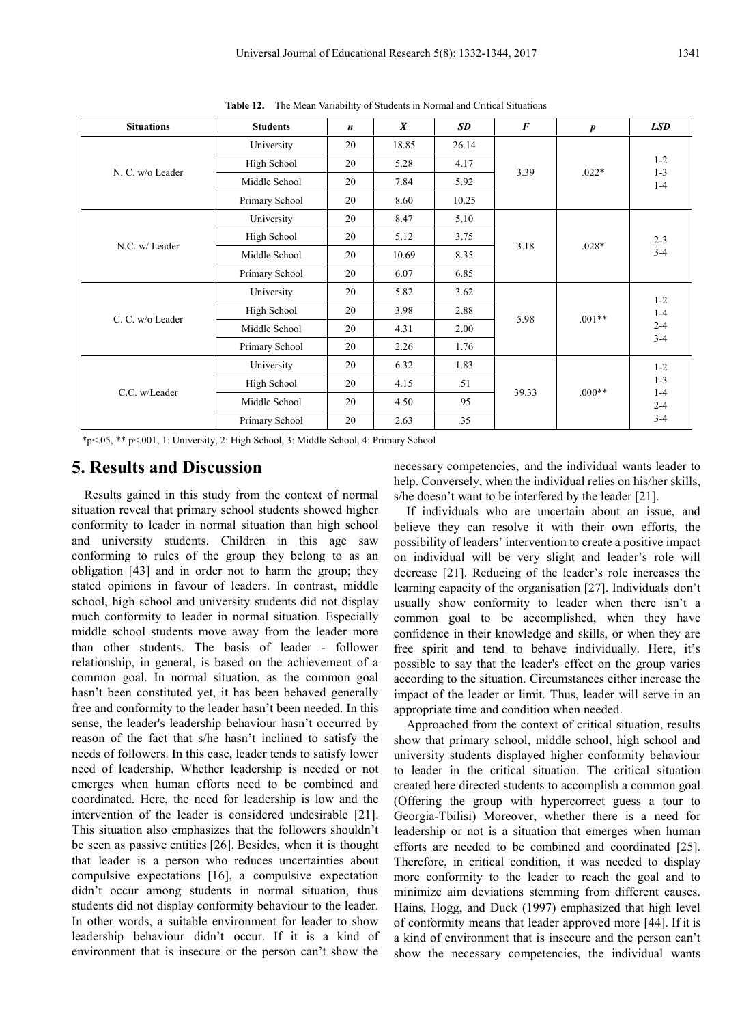| <b>Situations</b> | <b>Students</b> | $\boldsymbol{n}$ | $\overline{\pmb{X}}$ | <b>SD</b> | $\boldsymbol{F}$ | $\boldsymbol{p}$ | <b>LSD</b>                                        |
|-------------------|-----------------|------------------|----------------------|-----------|------------------|------------------|---------------------------------------------------|
| N. C. w/o Leader  | University      | 20               | 18.85                | 26.14     | 3.39             | $.022*$          | $1 - 2$<br>$1 - 3$<br>$1 - 4$                     |
|                   | High School     | 20               | 5.28                 | 4.17      |                  |                  |                                                   |
|                   | Middle School   | 20               | 7.84                 | 5.92      |                  |                  |                                                   |
|                   | Primary School  | 20               | 8.60                 | 10.25     |                  |                  |                                                   |
| N.C. w/ Leader    | University      | 20               | 8.47                 | 5.10      | 3.18             | $.028*$          | $2 - 3$<br>$3 - 4$                                |
|                   | High School     | 20               | 5.12                 | 3.75      |                  |                  |                                                   |
|                   | Middle School   | 20               | 10.69                | 8.35      |                  |                  |                                                   |
|                   | Primary School  | 20               | 6.07                 | 6.85      |                  |                  |                                                   |
| C. C. w/o Leader  | University      | 20               | 5.82                 | 3.62      | 5.98             | $.001**$         | $1 - 2$<br>$1-4$<br>$2 - 4$<br>$3 - 4$            |
|                   | High School     | 20               | 3.98                 | 2.88      |                  |                  |                                                   |
|                   | Middle School   | 20               | 4.31                 | 2.00      |                  |                  |                                                   |
|                   | Primary School  | 20               | 2.26                 | 1.76      |                  |                  |                                                   |
| C.C. w/Leader     | University      | 20               | 6.32                 | 1.83      | 39.33            | $.000**$         | $1 - 2$<br>$1 - 3$<br>$1-4$<br>$2 - 4$<br>$3 - 4$ |
|                   | High School     | 20               | 4.15                 | .51       |                  |                  |                                                   |
|                   | Middle School   | 20               | 4.50                 | .95       |                  |                  |                                                   |
|                   | Primary School  | 20               | 2.63                 | .35       |                  |                  |                                                   |

**Table 12.** The Mean Variability of Students in Normal and Critical Situations

\*p<.05, \*\* p<.001, 1: University, 2: High School, 3: Middle School, 4: Primary School

## **5. Results and Discussion**

Results gained in this study from the context of normal situation reveal that primary school students showed higher conformity to leader in normal situation than high school and university students. Children in this age saw conforming to rules of the group they belong to as an obligation [43] and in order not to harm the group; they stated opinions in favour of leaders. In contrast, middle school, high school and university students did not display much conformity to leader in normal situation. Especially middle school students move away from the leader more than other students. The basis of leader - follower relationship, in general, is based on the achievement of a common goal. In normal situation, as the common goal hasn't been constituted yet, it has been behaved generally free and conformity to the leader hasn't been needed. In this sense, the leader's leadership behaviour hasn't occurred by reason of the fact that s/he hasn't inclined to satisfy the needs of followers. In this case, leader tends to satisfy lower need of leadership. Whether leadership is needed or not emerges when human efforts need to be combined and coordinated. Here, the need for leadership is low and the intervention of the leader is considered undesirable [21]. This situation also emphasizes that the followers shouldn't be seen as passive entities [26]. Besides, when it is thought that leader is a person who reduces uncertainties about compulsive expectations [16], a compulsive expectation didn't occur among students in normal situation, thus students did not display conformity behaviour to the leader. In other words, a suitable environment for leader to show leadership behaviour didn't occur. If it is a kind of environment that is insecure or the person can't show the

necessary competencies, and the individual wants leader to help. Conversely, when the individual relies on his/her skills, s/he doesn't want to be interfered by the leader [21].

If individuals who are uncertain about an issue, and believe they can resolve it with their own efforts, the possibility of leaders' intervention to create a positive impact on individual will be very slight and leader's role will decrease [21]. Reducing of the leader's role increases the learning capacity of the organisation [27]. Individuals don't usually show conformity to leader when there isn't a common goal to be accomplished, when they have confidence in their knowledge and skills, or when they are free spirit and tend to behave individually. Here, it's possible to say that the leader's effect on the group varies according to the situation. Circumstances either increase the impact of the leader or limit. Thus, leader will serve in an appropriate time and condition when needed.

Approached from the context of critical situation, results show that primary school, middle school, high school and university students displayed higher conformity behaviour to leader in the critical situation. The critical situation created here directed students to accomplish a common goal. (Offering the group with hypercorrect guess a tour to Georgia-Tbilisi) Moreover, whether there is a need for leadership or not is a situation that emerges when human efforts are needed to be combined and coordinated [25]. Therefore, in critical condition, it was needed to display more conformity to the leader to reach the goal and to minimize aim deviations stemming from different causes. Hains, Hogg, and Duck (1997) emphasized that high level of conformity means that leader approved more [44]. If it is a kind of environment that is insecure and the person can't show the necessary competencies, the individual wants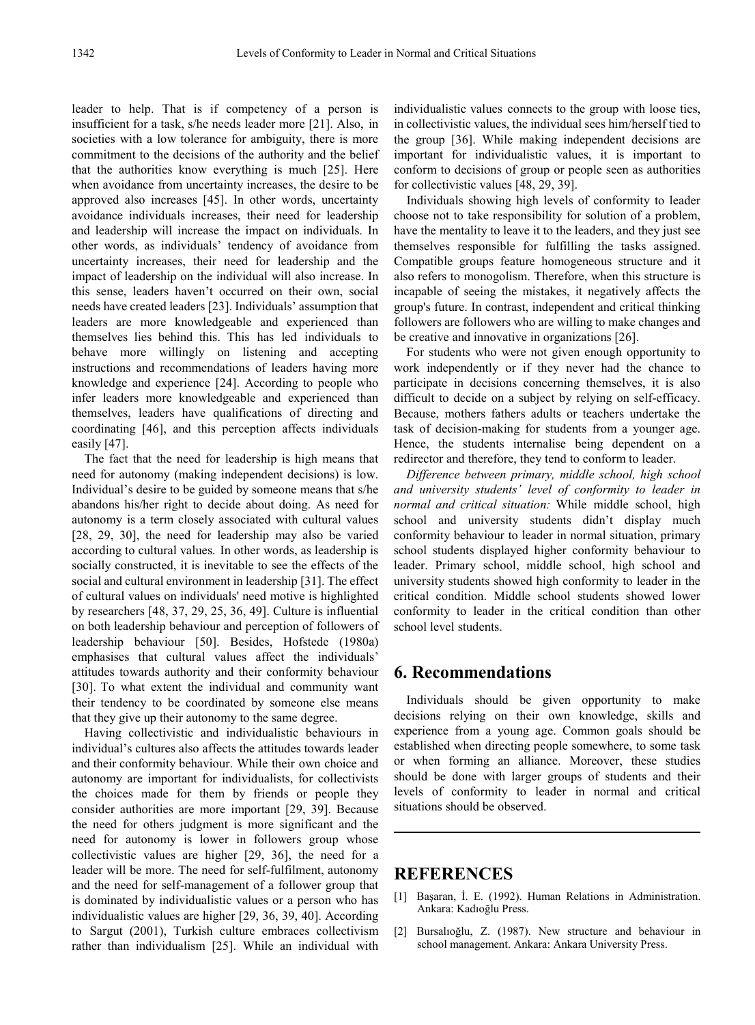leader to help. That is if competency of a person is insufficient for a task, s/he needs leader more [21]. Also, in societies with a low tolerance for ambiguity, there is more commitment to the decisions of the authority and the belief that the authorities know everything is much [25]. Here when avoidance from uncertainty increases, the desire to be approved also increases [45]. In other words, uncertainty avoidance individuals increases, their need for leadership and leadership will increase the impact on individuals. In other words, as individuals' tendency of avoidance from uncertainty increases, their need for leadership and the impact of leadership on the individual will also increase. In this sense, leaders haven't occurred on their own, social needs have created leaders [23]. Individuals' assumption that leaders are more knowledgeable and experienced than themselves lies behind this. This has led individuals to behave more willingly on listening and accepting instructions and recommendations of leaders having more knowledge and experience [24]. According to people who infer leaders more knowledgeable and experienced than themselves, leaders have qualifications of directing and coordinating [46], and this perception affects individuals easily [47].

The fact that the need for leadership is high means that need for autonomy (making independent decisions) is low. Individual's desire to be guided by someone means that s/he abandons his/her right to decide about doing. As need for autonomy is a term closely associated with cultural values [28, 29, 30], the need for leadership may also be varied according to cultural values. In other words, as leadership is socially constructed, it is inevitable to see the effects of the social and cultural environment in leadership [31]. The effect of cultural values on individuals' need motive is highlighted by researchers [48, 37, 29, 25, 36, 49]. Culture is influential on both leadership behaviour and perception of followers of leadership behaviour [50]. Besides, Hofstede (1980a) emphasises that cultural values affect the individuals' attitudes towards authority and their conformity behaviour [30]. To what extent the individual and community want their tendency to be coordinated by someone else means that they give up their autonomy to the same degree.

Having collectivistic and individualistic behaviours in individual's cultures also affects the attitudes towards leader and their conformity behaviour. While their own choice and autonomy are important for individualists, for collectivists the choices made for them by friends or people they consider authorities are more important [29, 39]. Because the need for others judgment is more significant and the need for autonomy is lower in followers group whose collectivistic values are higher [29, 36], the need for a leader will be more. The need for self-fulfilment, autonomy and the need for self-management of a follower group that is dominated by individualistic values or a person who has individualistic values are higher [29, 36, 39, 40]. According to Sargut (2001), Turkish culture embraces collectivism rather than individualism [25]. While an individual with

individualistic values connects to the group with loose ties, in collectivistic values, the individual sees him/herself tied to the group [36]. While making independent decisions are important for individualistic values, it is important to conform to decisions of group or people seen as authorities for collectivistic values [48, 29, 39].

Individuals showing high levels of conformity to leader choose not to take responsibility for solution of a problem, have the mentality to leave it to the leaders, and they just see themselves responsible for fulfilling the tasks assigned. Compatible groups feature homogeneous structure and it also refers to monogolism. Therefore, when this structure is incapable of seeing the mistakes, it negatively affects the group's future. In contrast, independent and critical thinking followers are followers who are willing to make changes and be creative and innovative in organizations [26].

For students who were not given enough opportunity to work independently or if they never had the chance to participate in decisions concerning themselves, it is also difficult to decide on a subject by relying on self-efficacy. Because, mothers fathers adults or teachers undertake the task of decision-making for students from a younger age. Hence, the students internalise being dependent on a redirector and therefore, they tend to conform to leader.

*Difference between primary, middle school, high school and university students' level of conformity to leader in normal and critical situation:* While middle school, high school and university students didn't display much conformity behaviour to leader in normal situation, primary school students displayed higher conformity behaviour to leader. Primary school, middle school, high school and university students showed high conformity to leader in the critical condition. Middle school students showed lower conformity to leader in the critical condition than other school level students.

# **6. Recommendations**

Individuals should be given opportunity to make decisions relying on their own knowledge, skills and experience from a young age. Common goals should be established when directing people somewhere, to some task or when forming an alliance. Moreover, these studies should be done with larger groups of students and their levels of conformity to leader in normal and critical situations should be observed.

## **REFERENCES**

- [1] Başaran, İ. E. (1992). Human Relations in Administration. Ankara: Kadıoğlu Press.
- [2] Bursalıoğlu, Z. (1987). New structure and behaviour in school management. Ankara: Ankara University Press.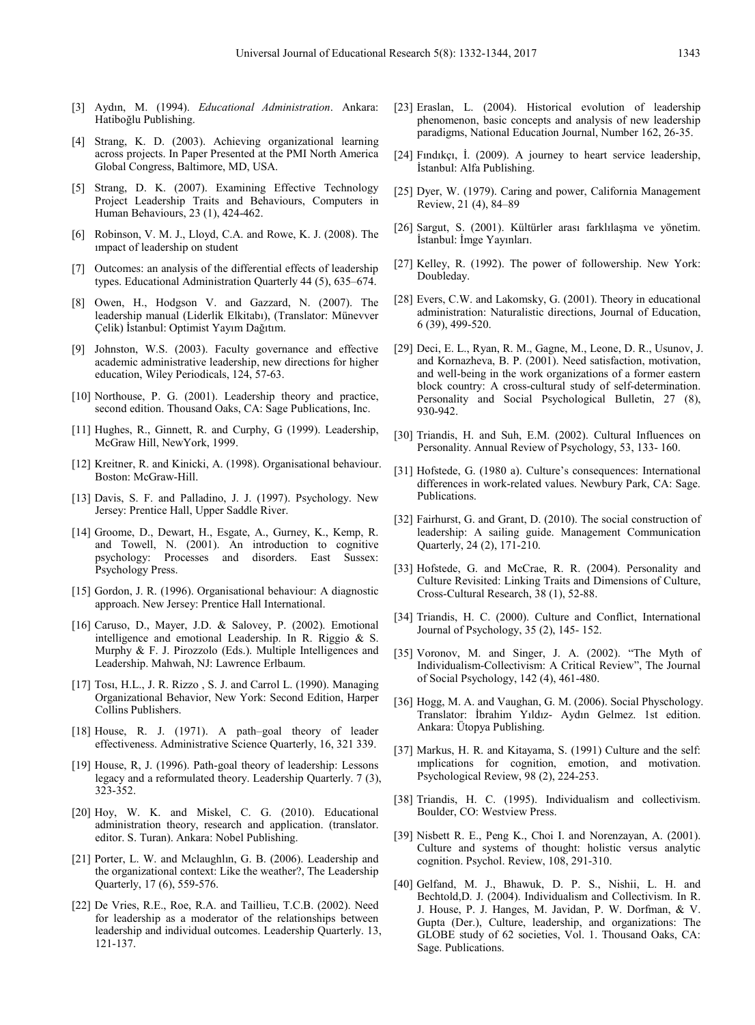- [3] Aydın, M. (1994). *Educational Administration*. Ankara: Hatiboğlu Publishing.
- [4] Strang, K. D. (2003). Achieving organizational learning across projects. In Paper Presented at the PMI North America Global Congress, Baltimore, MD, USA.
- [5] Strang, D. K. (2007). Examining Effective Technology Project Leadership Traits and Behaviours, Computers in Human Behaviours, 23 (1), 424-462.
- [6] Robinson, V. M. J., Lloyd, C.A. and Rowe, K. J. (2008). The ımpact of leadership on student
- [7] Outcomes: an analysis of the differential effects of leadership types. Educational Administration Quarterly 44 (5), 635–674.
- [8] Owen, H., Hodgson V. and Gazzard, N. (2007). The leadership manual (Liderlik Elkitabı), (Translator: Münevver Çelik) İstanbul: Optimist Yayım Dağıtım.
- [9] Johnston, W.S. (2003). Faculty governance and effective academic administrative leadership, new directions for higher education, Wiley Periodicals, 124, 57-63.
- [10] Northouse, P. G. (2001). Leadership theory and practice, second edition. Thousand Oaks, CA: Sage Publications, Inc.
- [11] Hughes, R., Ginnett, R. and Curphy, G (1999). Leadership, McGraw Hill, NewYork, 1999.
- [12] Kreitner, R. and Kinicki, A. (1998). Organisational behaviour. Boston: McGraw-Hill.
- [13] Davis, S. F. and Palladino, J. J. (1997). Psychology. New Jersey: Prentice Hall, Upper Saddle River.
- [14] Groome, D., Dewart, H., Esgate, A., Gurney, K., Kemp, R. and Towell, N. (2001). An introduction to cognitive psychology: Processes and disorders. East Sussex: Psychology Press.
- [15] Gordon, J. R. (1996). Organisational behaviour: A diagnostic approach. New Jersey: Prentice Hall International.
- [16] Caruso, D., Mayer, J.D. & Salovey, P. (2002). Emotional intelligence and emotional Leadership. In R. Riggio & S. Murphy & F. J. Pirozzolo (Eds.). Multiple Intelligences and Leadership. Mahwah, NJ: Lawrence Erlbaum.
- [17] Tosı, H.L., J. R. Rizzo , S. J. and Carrol L. (1990). Managing Organizational Behavior, New York: Second Edition, Harper Collins Publishers.
- [18] House, R. J. (1971). A path–goal theory of leader effectiveness. Administrative Science Quarterly, 16, 321 339.
- [19] House, R, J. (1996). Path-goal theory of leadership: Lessons legacy and a reformulated theory. Leadership Quarterly. 7 (3), 323-352.
- [20] Hoy, W. K. and Miskel, C. G. (2010). Educational administration theory, research and application. (translator. editor. S. Turan). Ankara: Nobel Publishing.
- [21] Porter, L. W. and Mclaughlin, G. B. (2006). Leadership and the organizational context: Like the weather?, The Leadership Quarterly, 17 (6), 559-576.
- [22] De Vries, R.E., Roe, R.A. and Taillieu, T.C.B. (2002). Need for leadership as a moderator of the relationships between leadership and individual outcomes. Leadership Quarterly. 13, 121-137.
- [23] Eraslan, L. (2004). Historical evolution of leadership phenomenon, basic concepts and analysis of new leadership paradigms, National Education Journal, Number 162, 26-35.
- [24] Fındıkçı, İ. (2009). A journey to heart service leadership, İstanbul: Alfa Publishing.
- [25] Dyer, W. (1979). Caring and power, California Management Review, 21 (4), 84–89
- [26] Sargut, S. (2001). Kültürler arası farklılaşma ve yönetim. İstanbul: İmge Yayınları.
- [27] Kelley, R. (1992). The power of followership. New York: Doubleday.
- [28] Evers, C.W. and Lakomsky, G. (2001). Theory in educational administration: Naturalistic directions, Journal of Education, 6 (39), 499-520.
- [29] Deci, E. L., Ryan, R. M., Gagne, M., Leone, D. R., Usunov, J. and Kornazheva, B. P. (2001). Need satisfaction, motivation, and well-being in the work organizations of a former eastern block country: A cross-cultural study of self-determination. Personality and Social Psychological Bulletin, 27 (8), 930-942.
- [30] Triandis, H. and Suh, E.M. (2002). Cultural Influences on Personality. Annual Review of Psychology, 53, 133- 160.
- [31] Hofstede, G. (1980 a). Culture's consequences: International differences in work-related values. Newbury Park, CA: Sage. Publications.
- [32] Fairhurst, G. and Grant, D. (2010). The social construction of leadership: A sailing guide. Management Communication Quarterly, 24 (2), 171-210.
- [33] Hofstede, G. and McCrae, R. R. (2004). Personality and Culture Revisited: Linking Traits and Dimensions of Culture, Cross-Cultural Research, 38 (1), 52-88.
- [34] Triandis, H. C. (2000). Culture and Conflict, International Journal of Psychology, 35 (2), 145- 152.
- [35] Voronov, M. and Singer, J. A. (2002). "The Myth of Individualism-Collectivism: A Critical Review", The Journal of Social Psychology, 142 (4), 461-480.
- [36] Hogg, M. A. and Vaughan, G. M. (2006). Social Physchology. Translator: İbrahim Yıldız- Aydın Gelmez. 1st edition. Ankara: Ütopya Publishing.
- [37] Markus, H. R. and Kitayama, S. (1991) Culture and the self: ımplications for cognition, emotion, and motivation. Psychological Review, 98 (2), 224-253.
- [38] Triandis, H. C. (1995). Individualism and collectivism. Boulder, CO: Westview Press.
- [39] Nisbett R. E., Peng K., Choi I. and Norenzayan, A. (2001). Culture and systems of thought: holistic versus analytic cognition. Psychol. Review, 108, 291-310.
- [40] Gelfand, M. J., Bhawuk, D. P. S., Nishii, L. H. and Bechtold,D. J. (2004). Individualism and Collectivism. In R. J. House, P. J. Hanges, M. Javidan, P. W. Dorfman, & V. Gupta (Der.), Culture, leadership, and organizations: The GLOBE study of 62 societies, Vol. 1. Thousand Oaks, CA: Sage. Publications.